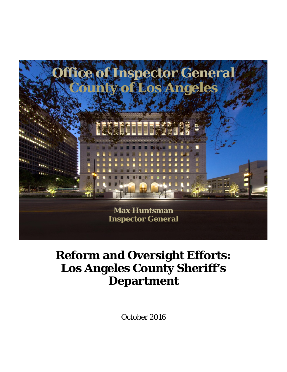

# **Reform and Oversight Efforts: Los Angeles County Sheriff's Department**

October 2016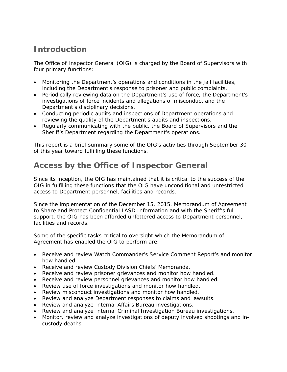# **Introduction**

The Office of Inspector General (OIG) is charged by the Board of Supervisors with four primary functions:

- Monitoring the Department's operations and conditions in the jail facilities, including the Department's response to prisoner and public complaints.
- Periodically reviewing data on the Department's use of force, the Department's investigations of force incidents and allegations of misconduct and the Department's disciplinary decisions.
- Conducting periodic audits and inspections of Department operations and reviewing the quality of the Department's audits and inspections.
- Regularly communicating with the public, the Board of Supervisors and the Sheriff's Department regarding the Department's operations.

This report is a brief summary some of the OIG's activities through September 30 of this year toward fulfilling these functions.

# **Access by the Office of Inspector General**

Since its inception, the OIG has maintained that it is critical to the success of the OIG in fulfilling these functions that the OIG have unconditional and unrestricted access to Department personnel, facilities and records.

Since the implementation of the December 15, 2015, Memorandum of Agreement to Share and Protect Confidential LASD Information and with the Sheriff's full support, the OIG has been afforded unfettered access to Department personnel, facilities and records.

Some of the specific tasks critical to oversight which the Memorandum of Agreement has enabled the OIG to perform are:

- Receive and review Watch Commander's Service Comment Report's and monitor how handled.
- Receive and review Custody Division Chiefs' Memoranda.
- Receive and review prisoner grievances and monitor how handled.
- Receive and review personnel grievances and monitor how handled.
- Review use of force investigations and monitor how handled.
- Review misconduct investigations and monitor how handled.
- Review and analyze Department responses to claims and lawsuits.
- Review and analyze Internal Affairs Bureau investigations.
- Review and analyze Internal Criminal Investigation Bureau investigations.
- Monitor, review and analyze investigations of deputy involved shootings and incustody deaths.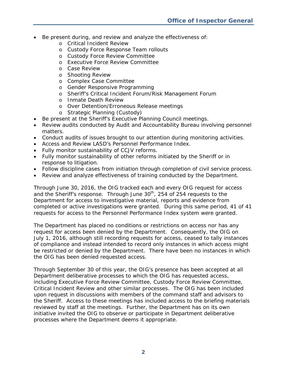- Be present during, and review and analyze the effectiveness of:
	- o Critical Incident Review
	- o Custody Force Response Team rollouts
	- o Custody Force Review Committee
	- o Executive Force Review Committee
	- o Case Review
	- o Shooting Review
	- o Complex Case Committee
	- o Gender Responsive Programming
	- o Sheriff's Critical Incident Forum/Risk Management Forum
	- o Inmate Death Review
	- o Over Detention/Erroneous Release meetings
	- o Strategic Planning (Custody)
- Be present at the Sheriff's Executive Planning Council meetings.
- Review audits conducted by Audit and Accountability Bureau involving personnel matters.
- Conduct audits of issues brought to our attention during monitoring activities.
- Access and Review LASD's Personnel Performance Index.
- Fully monitor sustainability of CCJV reforms.
- Fully monitor sustainability of other reforms initiated by the Sheriff or in response to litigation.
- Follow discipline cases from initiation through completion of civil service process.
- Review and analyze effectiveness of training conducted by the Department.

Through June 30, 2016, the OIG tracked each and every OIG request for access and the Sheriff's response. Through June  $30<sup>th</sup>$ , 254 of 254 requests to the Department for access to investigative material, reports and evidence from completed or active investigations were granted. During this same period, 41 of 41 requests for access to the Personnel Performance Index system were granted.

The Department has placed no conditions or restrictions on access nor has any request for access been denied by the Department. Consequently, the OIG on July 1, 2016, although still recording requests for access, ceased to tally instances of compliance and instead intended to record only instances in which access might be restricted or denied by the Department. There have been no instances in which the OIG has been denied requested access.

Through September 30 of this year, the OIG's presence has been accepted at all Department deliberative processes to which the OIG has requested access, including Executive Force Review Committee, Custody Force Review Committee, Critical Incident Review and other similar processes. The OIG has been included upon request in discussions with members of the command staff and advisors to the Sheriff. Access to these meetings has included access to the briefing materials reviewed by staff at the meetings. Further, the Department has on its own initiative invited the OIG to observe or participate in Department deliberative processes where the Department deems it appropriate.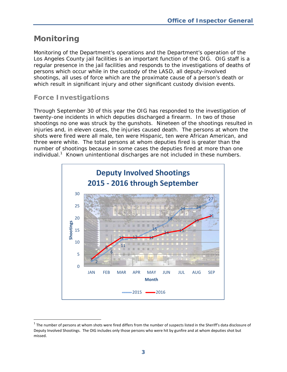# **Monitoring**

-

Monitoring of the Department's operations and the Department's operation of the Los Angeles County jail facilities is an important function of the OIG. OIG staff is a regular presence in the jail facilities and responds to the investigations of deaths of persons which occur while in the custody of the LASD, all deputy-involved shootings, all uses of force which are the proximate cause of a person's death or which result in significant injury and other significant custody division events.

### *Force Investigations*

Through September 30 of this year the OIG has responded to the investigation of twenty-one incidents in which deputies discharged a firearm. In two of those shootings no one was struck by the gunshots. Nineteen of the shootings resulted in injuries and, in eleven cases, the injuries caused death. The persons at whom the shots were fired were all male, ten were Hispanic, ten were African American, and three were white. The total persons at whom deputies fired is greater than the number of shootings because in some cases the deputies fired at more than one individual. $1$  Known unintentional discharges are not included in these numbers.



 $1$  The number of persons at whom shots were fired differs from the number of suspects listed in the Sheriff's data disclosure of Deputy Involved Shootings. The OIG includes only those persons who were hit by gunfire and at whom deputies shot but missed.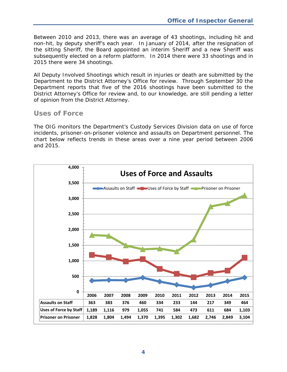Between 2010 and 2013, there was an average of 43 shootings, including hit and non-hit, by deputy sheriff's each year. In January of 2014, after the resignation of the sitting Sheriff, the Board appointed an interim Sheriff and a new Sheriff was subsequently elected on a reform platform. In 2014 there were 33 shootings and in 2015 there were 34 shootings.

All Deputy Involved Shootings which result in injuries or death are submitted by the Department to the District Attorney's Office for review. Through September 30 the Department reports that five of the 2016 shootings have been submitted to the District Attorney's Office for review and, to our knowledge, are still pending a letter of opinion from the District Attorney.

#### *Uses of Force*

The OIG monitors the Department's Custody Services Division data on use of force incidents, prisoner-on-prisoner violence and assaults on Department personnel. The chart below reflects trends in these areas over a nine year period between 2006 and 2015.

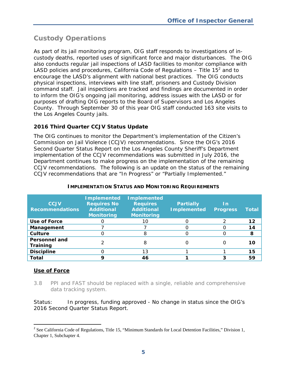### *Custody Operations*

As part of its jail monitoring program, OIG staff responds to investigations of incustody deaths, reported uses of significant force and major disturbances. The OIG also conducts regular jail inspections of LASD facilities to monitor compliance with LASD policies and procedures, California Code of Regulations  $-$  Title 15<sup>2</sup> and to encourage the LASD's alignment with national best practices. The OIG conducts physical inspections, interviews with line staff, prisoners and Custody Division command staff. Jail inspections are tracked and findings are documented in order to inform the OIG's ongoing jail monitoring, address issues with the LASD or for purposes of drafting OIG reports to the Board of Supervisors and Los Angeles County. Through September 30 of this year OIG staff conducted 163 site visits to the Los Angeles County jails.

#### **2016 Third Quarter CCJV Status Update**

The OIG continues to monitor the Department's implementation of the Citizen's Commission on Jail Violence (CCJV) recommendations. Since the OIG's *2016 Second Quarter Status Report* on the Los Angeles County Sheriff's Department implementation of the CCJV recommendations was submitted in July 2016, the Department continues to make progress on the implementation of the remaining CCJV recommendations. The following is an update on the status of the remaining CCJV recommendations that are "In Progress" or "Partially Implemented."

| <b>CCJV</b><br><b>Recommendations</b> | <b>Implemented</b><br><b>Requires No</b><br><b>Additional</b><br><b>Monitoring</b> | <b>Implemented</b><br><b>Requires</b><br><b>Additional</b><br><b>Monitoring</b> | <b>Partially</b><br><b>Implemented</b> | <u>In</u><br><b>Progress</b> | Total   |
|---------------------------------------|------------------------------------------------------------------------------------|---------------------------------------------------------------------------------|----------------------------------------|------------------------------|---------|
| <b>Use of Force</b>                   |                                                                                    | 10                                                                              |                                        |                              | $12 \,$ |
| Management                            |                                                                                    |                                                                                 |                                        |                              | 14      |
| Culture                               |                                                                                    | 8                                                                               |                                        |                              | 8       |
| <b>Personnel and</b><br>Training      |                                                                                    | 8                                                                               |                                        |                              | 10      |
| <b>Discipline</b>                     |                                                                                    | 13                                                                              |                                        |                              | 15      |
| Total                                 |                                                                                    | 46                                                                              |                                        |                              | 59      |

#### **IMPLEMENTATION STATUS AND MONITORING REQUIREMENTS**

#### **Use of Force**

*3.8 PPI and FAST should be replaced with a single, reliable and comprehensive data tracking system.* 

*Status: In progress, funding approved* - No change in status since the OIG's *2016 Second Quarter Status Report.* 

<sup>&</sup>lt;sup>2</sup> See California Code of Regulations, Title 15, "Minimum Standards for Local Detention Facilities," Division 1, Chapter 1, Subchapter 4.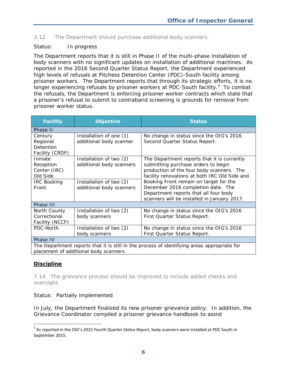*3.12 The Department should purchase additional body scanners.* 

#### *Status: In progress*

The Department reports that it is still in Phase II of the multi-phase installation of body scanners with no significant updates on installation of additional machines. As reported in the *2016 Second Quarter Status Report*, the Department experienced high levels of refusals at Pitchess Detention Center (PDC)-South facility among prisoner workers. The Department reports that through its strategic efforts, it is no longer experiencing refusals by prisoner workers at PDC-South facility. $3$  To combat the refusals, the Department is enforcing prisoner worker contracts which state that a prisoner's refusal to submit to contraband screening is grounds for removal from prisoner worker status.

| <b>Facility</b>                                                                                                                       | <b>Objective</b>                                    | <b>Status</b>                                                                                                                                                                    |  |  |
|---------------------------------------------------------------------------------------------------------------------------------------|-----------------------------------------------------|----------------------------------------------------------------------------------------------------------------------------------------------------------------------------------|--|--|
| Phase II                                                                                                                              |                                                     |                                                                                                                                                                                  |  |  |
| Century<br>Regional<br>Detention<br>Facility (CRDF)                                                                                   | Installation of one (1)<br>additional body scanner  | No change in status since the OIG's 2016<br>Second Quarter Status Report.                                                                                                        |  |  |
| Inmate<br>Reception<br>Center (IRC)<br>Old Side                                                                                       | Installation of two (2)<br>additional body scanners | The Department reports that it is currently<br>submitting purchase orders to begin<br>production of the four body scanners. The<br>facility renovations at both IRC Old Side and |  |  |
| <b>IRC Booking</b><br>Front                                                                                                           | Installation of two (2)<br>additional body scanners | Booking Front remain on target for the<br>December 2016 completion date. The<br>Department reports that all four body<br>scanners will be installed in January 2017.             |  |  |
| Phase III                                                                                                                             |                                                     |                                                                                                                                                                                  |  |  |
| North County<br>Correctional<br>Facility (NCCF)                                                                                       | Installation of two (2)<br>body scanners            | No change in status since the OIG's 2016<br>First Quarter Status Report.                                                                                                         |  |  |
| PDC-North                                                                                                                             | Installation of two (2)<br>body scanners            | No change in status since the OIG's 2016<br>First Quarter Status Report.                                                                                                         |  |  |
| Phase IV                                                                                                                              |                                                     |                                                                                                                                                                                  |  |  |
| The Department reports that it is still in the process of identifying areas appropriate for<br>placement of additional body scanners. |                                                     |                                                                                                                                                                                  |  |  |

#### **Discipline**

j

*7.14 The grievance process should be improved to include added checks and oversight.* 

#### *Status: Partially implemented*

In July, the Department finalized its new prisoner grievance policy. In addition, the Grievance Coordinator compiled a prisoner grievance handbook to assist

<sup>3</sup> As reported in the OIG's *2015 Fourth Quarter Status Report*, body scanners were installed at PDC South in September 2015.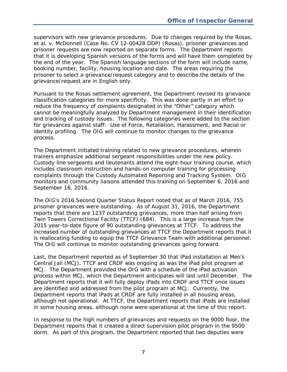supervisors with new grievance procedures. Due to changes required by the *Rosas, et al. v. McDonnell* (Case No. CV 12-00428 DDP) (*Rosas*), prisoner grievances and prisoner requests are now reported on separate forms. The Department reports that it is developing Spanish versions of the forms and will have them completed by the end of the year. The Spanish language sections of the form will include name, booking number, facility, housing location and date. The areas requiring the prisoner to select a grievance/request category and to describe the details of the grievance/request are in English only.

Pursuant to the *Rosas* settlement agreement, the Department revised its grievance classification categories for more specificity. This was done partly in an effort to reduce the frequency of complaints designated in the "Other" category which cannot be meaningfully analyzed by Department management in their identification and tracking of custody issues. The following categories were added to the section for grievances against staff: Use of Force, Retaliation, Harassment, and Racial or identity profiling. The OIG will continue to monitor changes to the grievance process.

The Department initiated training related to new grievance procedures, wherein trainers emphasize additional sergeant responsibilities under the new policy. Custody line sergeants and lieutenants attend the eight-hour training course, which includes classroom instruction and hands-on computer training for processing complaints through the Custody Automated Reporting and Tracking System. OIG monitors and community liaisons attended this training on September 6, 2016 and September 16, 2016.

The OIG's *2016 Second Quarter Status Report* noted that as of March 2016, 755 prisoner grievances were outstanding. As of August 31, 2016, the Department reports that there are 1237 outstanding grievances, more than half arising from Twin Towers Correctional Facility (TTCF) (684). This is a large increase from the 2015 year-to-date figure of 90 outstanding grievances at TTCF. To address the increased number of outstanding grievances at TTCF the Department reports that it is reallocating funding to equip the TTCF Grievance Team with additional personnel. The OIG will continue to monitor outstanding grievances going forward.

Last, the Department reported as of September 30 that iPad installation at Men's Central Jail (MCJ), TTCF and CRDF was ongoing as was the iPad pilot program at MCJ. The Department provided the OIG with a schedule of the iPad activation process within MCJ, which the Department anticipates will last until December. The Department reports that it will fully deploy iPads into CRDF and TTCF once issues are identified and addressed from the pilot program at MCJ. Currently, the Department reports that iPads at CRDF are fully installed in all housing areas, although not operational. At TTCF, the Department reports that iPads are installed in some housing areas, although none were operational at the time of this report.

In response to the high numbers of grievances and requests on the 9000 floor, the Department reports that it created a direct supervision pilot program in the 9500 dorm. As part of this program, the Department reported that two deputies were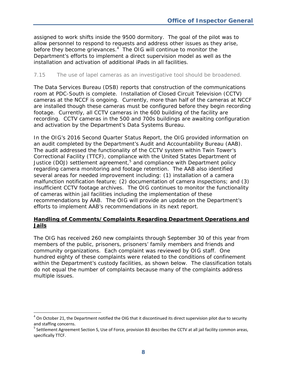assigned to work shifts inside the 9500 dormitory. The goal of the pilot was to allow personnel to respond to requests and address other issues as they arise, before they become grievances.<sup>4</sup> The OIG will continue to monitor the Department's efforts to implement a direct supervision model as well as the installation and activation of additional iPads in all facilities.

#### *7.15 The use of lapel cameras as an investigative tool should be broadened.*

The Data Services Bureau (DSB) reports that construction of the communications room at PDC-South is complete. Installation of Closed Circuit Television (CCTV) cameras at the NCCF is ongoing. Currently, more than half of the cameras at NCCF are installed though these cameras must be configured before they begin recording footage. Currently, all CCTV cameras in the 600 building of the facility are recording. CCTV cameras in the 500 and 700s buildings are awaiting configuration and activation by the Department's Data Systems Bureau.

In the OIG's *2016 Second Quarter Status Report*, the OIG provided information on an audit completed by the Department's Audit and Accountability Bureau (AAB). The audit addressed the functionality of the CCTV system within Twin Tower's Correctional Facility (TTCF), compliance with the United States Department of Justice (DOJ) settlement agreement,<sup>5</sup> and compliance with Department policy regarding camera monitoring and footage retention. The AAB also identified several areas for needed improvement including: (1) installation of a camera malfunction notification feature; (2) documentation of camera inspections; and (3) insufficient CCTV footage archives. The OIG continues to monitor the functionality of cameras within jail facilities including the implementation of these recommendations by AAB. The OIG will provide an update on the Department's efforts to implement AAB's recommendations in its next report.

#### **Handling of Comments/Complaints Regarding Department Operations and Jails**

The OIG has received 260 new complaints through September 30 of this year from members of the public, prisoners, prisoners' family members and friends and community organizations. Each complaint was reviewed by OIG staff. One hundred eighty of these complaints were related to the conditions of confinement within the Department's custody facilities, as shown below. The classification totals do not equal the number of complaints because many of the complaints address multiple issues.

j

 $<sup>4</sup>$  On October 21, the Department notified the OIG that it discontinued its direct supervision pilot due to security</sup> and staffing concerns.<br><sup>5</sup> Settlement Agreement Section S, Use of Force, provision 83 describes the CCTV at all jail facility common areas,

specifically TTCF.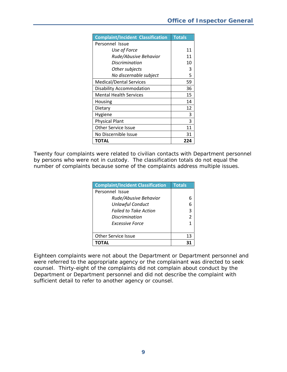| <b>Complaint/Incident Classification</b> | <b>Totals</b> |
|------------------------------------------|---------------|
| Personnel Issue                          |               |
| Use of Force                             | 11            |
| Rude/Abusive Behavior                    | 11            |
| Discrimination                           | 10            |
| Other subjects                           | 3             |
| No discernable subject                   | 5             |
| <b>Medical/Dental Services</b>           | 59            |
| <b>Disability Accommodation</b>          | 36            |
| <b>Mental Health Services</b>            | 15            |
| Housing                                  | 14            |
| Dietary                                  | 12            |
| Hygiene                                  | 3             |
| <b>Physical Plant</b>                    | 3             |
| <b>Other Service Issue</b>               | 11            |
| No Discernible Issue                     | 31            |
| ΤΟΤΑL                                    | 224           |

Twenty four complaints were related to civilian contacts with Department personnel by persons who were not in custody. The classification totals do not equal the number of complaints because some of the complaints address multiple issues.

| <b>Complaint/Incident Classification</b> | <b>Totals</b>  |
|------------------------------------------|----------------|
| Personnel Issue                          |                |
| Rude/Abusive Behavior                    |                |
| <b>Unlawful Conduct</b>                  |                |
| <b>Failed to Take Action</b>             | 3              |
| Discrimination                           | $\mathfrak{p}$ |
| Excessive Force                          |                |
|                                          |                |
| <b>Other Service Issue</b>               | 13             |
| ΤΩΤΔΙ                                    |                |

Eighteen complaints were not about the Department or Department personnel and were referred to the appropriate agency or the complainant was directed to seek counsel. Thirty-eight of the complaints did not complain about conduct by the Department or Department personnel and did not describe the complaint with sufficient detail to refer to another agency or counsel.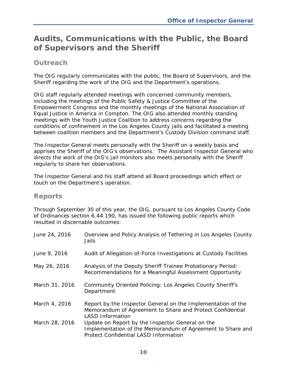# **Audits, Communications with the Public, the Board of Supervisors and the Sheriff**

### *Outreach*

The OIG regularly communicates with the public, the Board of Supervisors, and the Sheriff regarding the work of the OIG and the Department's operations.

OIG staff regularly attended meetings with concerned community members, including the meetings of the Public Safety & Justice Committee of the Empowerment Congress and the monthly meetings of the National Association of Equal Justice in America in Compton. The OIG also attended monthly standing meetings with the Youth Justice Coalition to address concerns regarding the conditions of confinement in the Los Angeles County jails and facilitated a meeting between coalition members and the Department's Custody Division command staff.

The Inspector General meets personally with the Sheriff on a weekly basis and apprises the Sheriff of the OIG's observations. The Assistant Inspector General who directs the work of the OIG's jail monitors also meets personally with the Sheriff regularly to share her observations.

The Inspector General and his staff attend all Board proceedings which effect or touch on the Department's operation.

#### *Reports*

Through September 30 of this year, the OIG, pursuant to Los Angeles County Code of Ordinances section 6.44.190, has issued the following public reports which resulted in discernable outcomes:

| June 9, 2016<br>May 26, 2016<br>Analysis of the Deputy Sheriff Trainee Probationary Period:<br>Recommendations for a Meaningful Assessment Opportunity<br>March 31, 2016<br>Community Oriented Policing: Los Angeles County Sheriff's<br>Department<br>March 4, 2016<br><b>LASD Information</b><br>March 28, 2016<br>Update on Report by the Inspector General on the<br><b>Protect Confidential LASD Information</b> | June 24, 2016 | Overview and Policy Analysis of Tethering in Los Angeles County<br>Jails                                                  |
|-----------------------------------------------------------------------------------------------------------------------------------------------------------------------------------------------------------------------------------------------------------------------------------------------------------------------------------------------------------------------------------------------------------------------|---------------|---------------------------------------------------------------------------------------------------------------------------|
|                                                                                                                                                                                                                                                                                                                                                                                                                       |               | Audit of Allegation-of-Force Investigations at Custody Facilities                                                         |
|                                                                                                                                                                                                                                                                                                                                                                                                                       |               |                                                                                                                           |
|                                                                                                                                                                                                                                                                                                                                                                                                                       |               |                                                                                                                           |
|                                                                                                                                                                                                                                                                                                                                                                                                                       |               | Report by the Inspector General on the Implementation of the<br>Memorandum of Agreement to Share and Protect Confidential |
|                                                                                                                                                                                                                                                                                                                                                                                                                       |               | Implementation of the Memorandum of Agreement to Share and                                                                |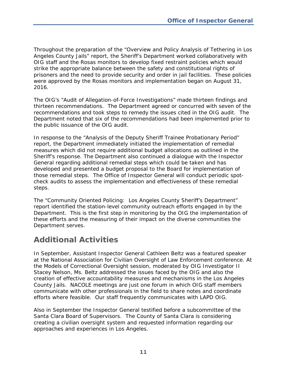Throughout the preparation of the "Overview and Policy Analysis of Tethering in Los Angeles County Jails" report, the Sheriff's Department worked collaboratively with OIG staff and the *Rosas* monitors to develop fixed restraint policies which would strike the appropriate balance between the safety and constitutional rights of prisoners and the need to provide security and order in jail facilities. These policies were approved by the *Rosas* monitors and implementation began on August 31, 2016.

The OIG's "Audit of Allegation-of-Force Investigations" made thirteen findings and thirteen recommendations. The Department agreed or concurred with seven of the recommendations and took steps to remedy the issues cited in the OIG audit. The Department noted that six of the recommendations had been implemented prior to the public issuance of the OIG audit.

In response to the "Analysis of the Deputy Sheriff Trainee Probationary Period" report, the Department immediately initiated the implementation of remedial measures which did not require additional budget allocations as outlined in the Sheriff's response. The Department also continued a dialogue with the Inspector General regarding additional remedial steps which could be taken and has developed and presented a budget proposal to the Board for implementation of those remedial steps. The Office of Inspector General will conduct periodic spotcheck audits to assess the implementation and effectiveness of these remedial steps.

The "Community Oriented Policing: Los Angeles County Sheriff's Department" report identified the station-level community outreach efforts engaged in by the Department. This is the first step in monitoring by the OIG the implementation of these efforts and the measuring of their impact on the diverse communities the Department serves.

## **Additional Activities**

In September, Assistant Inspector General Cathleen Beltz was a featured speaker at the National Association for Civilian Oversight of Law Enforcement conference. At the Models of Correctional Oversight session, moderated by OIG Investigator II Stacey Nelson, Ms. Beltz addressed the issues faced by the OIG and also the creation of effective accountability measures and mechanisms in the Los Angeles County Jails. NACOLE meetings are just one forum in which OIG staff members communicate with other professionals in the field to share notes and coordinate efforts where feasible. Our staff frequently communicates with LAPD OIG.

Also in September the Inspector General testified before a subcommittee of the Santa Clara Board of Supervisors. The County of Santa Clara is considering creating a civilian oversight system and requested information regarding our approaches and experiences in Los Angeles.